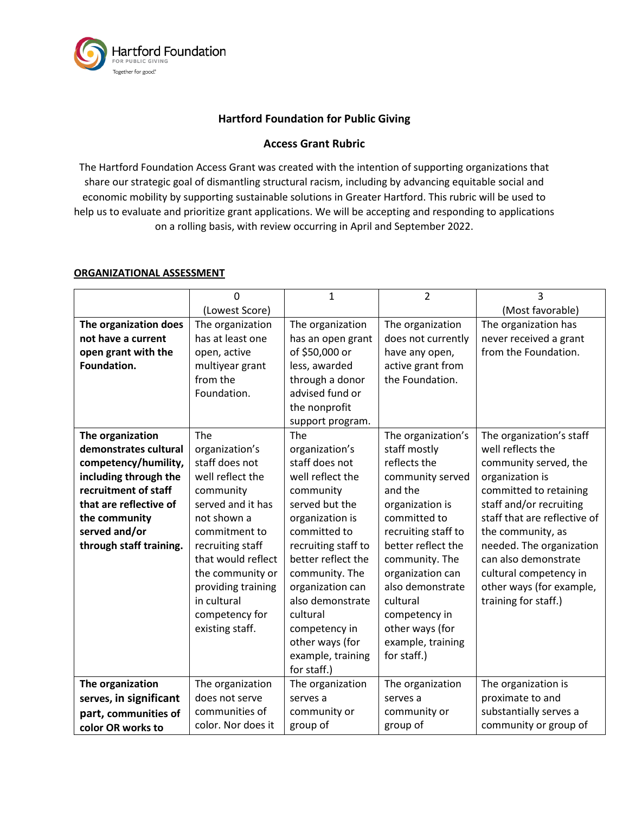

## **Hartford Foundation for Public Giving**

## **Access Grant Rubric**

The Hartford Foundation Access Grant was created with the intention of supporting organizations that share our strategic goal of dismantling structural racism, including by advancing equitable social and economic mobility by supporting sustainable solutions in Greater Hartford. This rubric will be used to help us to evaluate and prioritize grant applications. We will be accepting and responding to applications on a rolling basis, with review occurring in April and September 2022.

## **ORGANIZATIONAL ASSESSMENT**

|                         | O                  | 1                   | $\overline{2}$      | 3                            |
|-------------------------|--------------------|---------------------|---------------------|------------------------------|
|                         | (Lowest Score)     |                     |                     | (Most favorable)             |
| The organization does   | The organization   | The organization    | The organization    | The organization has         |
| not have a current      | has at least one   | has an open grant   | does not currently  | never received a grant       |
| open grant with the     | open, active       | of \$50,000 or      | have any open,      | from the Foundation.         |
| Foundation.             | multiyear grant    | less, awarded       | active grant from   |                              |
|                         | from the           | through a donor     | the Foundation.     |                              |
|                         | Foundation.        | advised fund or     |                     |                              |
|                         |                    | the nonprofit       |                     |                              |
|                         |                    | support program.    |                     |                              |
| The organization        | The                | The                 | The organization's  | The organization's staff     |
| demonstrates cultural   | organization's     | organization's      | staff mostly        | well reflects the            |
| competency/humility,    | staff does not     | staff does not      | reflects the        | community served, the        |
| including through the   | well reflect the   | well reflect the    | community served    | organization is              |
| recruitment of staff    | community          | community           | and the             | committed to retaining       |
| that are reflective of  | served and it has  | served but the      | organization is     | staff and/or recruiting      |
| the community           | not shown a        | organization is     | committed to        | staff that are reflective of |
| served and/or           | commitment to      | committed to        | recruiting staff to | the community, as            |
| through staff training. | recruiting staff   | recruiting staff to | better reflect the  | needed. The organization     |
|                         | that would reflect | better reflect the  | community. The      | can also demonstrate         |
|                         | the community or   | community. The      | organization can    | cultural competency in       |
|                         | providing training | organization can    | also demonstrate    | other ways (for example,     |
|                         | in cultural        | also demonstrate    | cultural            | training for staff.)         |
|                         | competency for     | cultural            | competency in       |                              |
|                         | existing staff.    | competency in       | other ways (for     |                              |
|                         |                    | other ways (for     | example, training   |                              |
|                         |                    | example, training   | for staff.)         |                              |
|                         |                    | for staff.)         |                     |                              |
| The organization        | The organization   | The organization    | The organization    | The organization is          |
| serves, in significant  | does not serve     | serves a            | serves a            | proximate to and             |
| part, communities of    | communities of     | community or        | community or        | substantially serves a       |
| color OR works to       | color. Nor does it | group of            | group of            | community or group of        |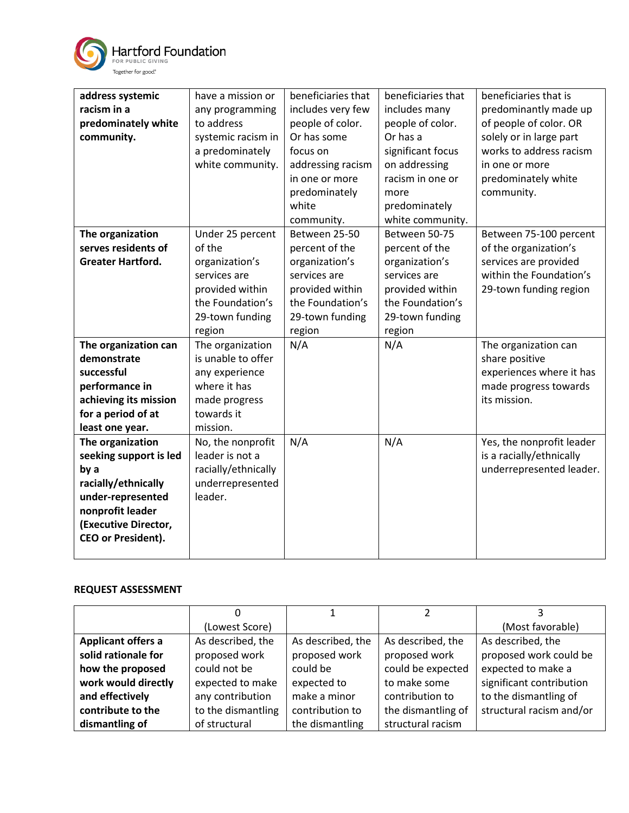

| address systemic          | have a mission or   | beneficiaries that | beneficiaries that | beneficiaries that is     |
|---------------------------|---------------------|--------------------|--------------------|---------------------------|
| racism in a               | any programming     | includes very few  | includes many      | predominantly made up     |
| predominately white       | to address          | people of color.   | people of color.   | of people of color. OR    |
| community.                | systemic racism in  | Or has some        | Or has a           | solely or in large part   |
|                           | a predominately     | focus on           | significant focus  | works to address racism   |
|                           | white community.    | addressing racism  | on addressing      | in one or more            |
|                           |                     |                    |                    |                           |
|                           |                     | in one or more     | racism in one or   | predominately white       |
|                           |                     | predominately      | more               | community.                |
|                           |                     | white              | predominately      |                           |
|                           |                     | community.         | white community.   |                           |
| The organization          | Under 25 percent    | Between 25-50      | Between 50-75      | Between 75-100 percent    |
| serves residents of       | of the              | percent of the     | percent of the     | of the organization's     |
| <b>Greater Hartford.</b>  | organization's      | organization's     | organization's     | services are provided     |
|                           | services are        | services are       | services are       | within the Foundation's   |
|                           | provided within     | provided within    | provided within    | 29-town funding region    |
|                           | the Foundation's    | the Foundation's   | the Foundation's   |                           |
|                           | 29-town funding     | 29-town funding    | 29-town funding    |                           |
|                           | region              | region             | region             |                           |
| The organization can      | The organization    | N/A                | N/A                | The organization can      |
| demonstrate               | is unable to offer  |                    |                    | share positive            |
| successful                | any experience      |                    |                    | experiences where it has  |
| performance in            | where it has        |                    |                    | made progress towards     |
| achieving its mission     | made progress       |                    |                    | its mission.              |
| for a period of at        | towards it          |                    |                    |                           |
| least one year.           | mission.            |                    |                    |                           |
| The organization          | No, the nonprofit   | N/A                | N/A                | Yes, the nonprofit leader |
| seeking support is led    | leader is not a     |                    |                    | is a racially/ethnically  |
| by a                      | racially/ethnically |                    |                    | underrepresented leader.  |
| racially/ethnically       | underrepresented    |                    |                    |                           |
| under-represented         | leader.             |                    |                    |                           |
| nonprofit leader          |                     |                    |                    |                           |
| (Executive Director,      |                     |                    |                    |                           |
| <b>CEO or President).</b> |                     |                    |                    |                           |
|                           |                     |                    |                    |                           |
|                           |                     |                    |                    |                           |

## **REQUEST ASSESSMENT**

|                           | (Lowest Score)     |                   |                    | (Most favorable)         |
|---------------------------|--------------------|-------------------|--------------------|--------------------------|
| <b>Applicant offers a</b> | As described, the  | As described, the | As described, the  | As described, the        |
| solid rationale for       | proposed work      | proposed work     | proposed work      | proposed work could be   |
| how the proposed          | could not be       | could be          | could be expected  | expected to make a       |
| work would directly       | expected to make   | expected to       | to make some       | significant contribution |
| and effectively           | any contribution   | make a minor      | contribution to    | to the dismantling of    |
| contribute to the         | to the dismantling | contribution to   | the dismantling of | structural racism and/or |
| dismantling of            | of structural      | the dismantling   | structural racism  |                          |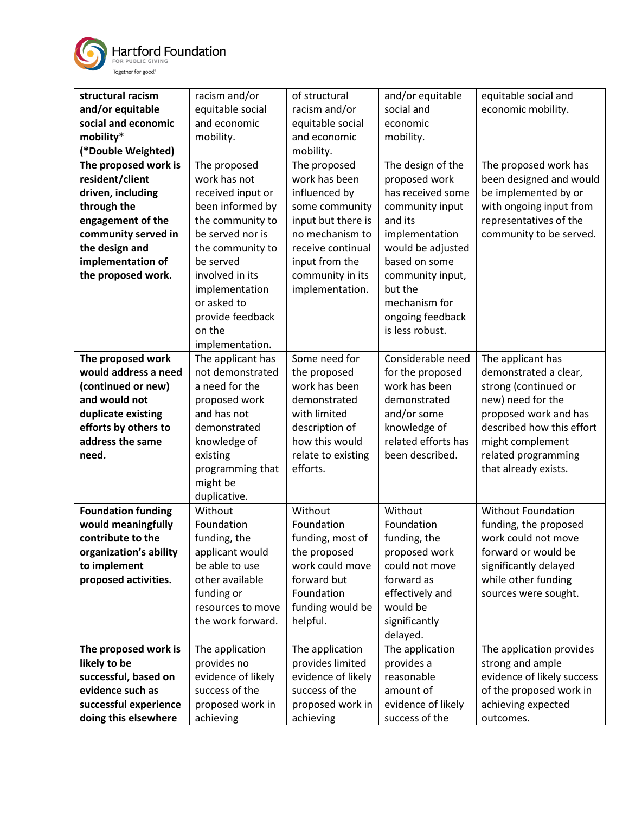

| structural racism         | racism and/or      | of structural      | and/or equitable    | equitable social and       |
|---------------------------|--------------------|--------------------|---------------------|----------------------------|
| and/or equitable          | equitable social   | racism and/or      | social and          | economic mobility.         |
| social and economic       | and economic       | equitable social   | economic            |                            |
| mobility*                 | mobility.          | and economic       | mobility.           |                            |
| (*Double Weighted)        |                    | mobility.          |                     |                            |
| The proposed work is      | The proposed       | The proposed       | The design of the   | The proposed work has      |
| resident/client           | work has not       | work has been      | proposed work       | been designed and would    |
| driven, including         | received input or  | influenced by      | has received some   | be implemented by or       |
| through the               | been informed by   | some community     | community input     | with ongoing input from    |
| engagement of the         | the community to   | input but there is | and its             | representatives of the     |
| community served in       | be served nor is   | no mechanism to    | implementation      | community to be served.    |
| the design and            | the community to   | receive continual  | would be adjusted   |                            |
| implementation of         | be served          | input from the     | based on some       |                            |
| the proposed work.        | involved in its    | community in its   | community input,    |                            |
|                           | implementation     | implementation.    | but the             |                            |
|                           | or asked to        |                    | mechanism for       |                            |
|                           | provide feedback   |                    | ongoing feedback    |                            |
|                           | on the             |                    | is less robust.     |                            |
|                           | implementation.    |                    |                     |                            |
| The proposed work         | The applicant has  | Some need for      | Considerable need   | The applicant has          |
| would address a need      | not demonstrated   | the proposed       | for the proposed    | demonstrated a clear,      |
| (continued or new)        | a need for the     | work has been      | work has been       | strong (continued or       |
| and would not             | proposed work      | demonstrated       | demonstrated        | new) need for the          |
| duplicate existing        | and has not        | with limited       | and/or some         | proposed work and has      |
| efforts by others to      | demonstrated       | description of     | knowledge of        | described how this effort  |
| address the same          | knowledge of       | how this would     | related efforts has | might complement           |
| need.                     | existing           | relate to existing | been described.     | related programming        |
|                           | programming that   | efforts.           |                     | that already exists.       |
|                           | might be           |                    |                     |                            |
|                           | duplicative.       |                    |                     |                            |
| <b>Foundation funding</b> | Without            | Without            | Without             | <b>Without Foundation</b>  |
| would meaningfully        | Foundation         | Foundation         | Foundation          | funding, the proposed      |
| contribute to the         | funding, the       | funding, most of   | funding, the        | work could not move        |
| organization's ability    | applicant would    | the proposed       | proposed work       | forward or would be        |
| to implement              | be able to use     | work could move    | could not move      | significantly delayed      |
| proposed activities.      | other available    | forward but        | forward as          | while other funding        |
|                           | funding or         | Foundation         | effectively and     | sources were sought.       |
|                           | resources to move  | funding would be   | would be            |                            |
|                           | the work forward.  | helpful.           | significantly       |                            |
|                           |                    |                    | delayed.            |                            |
| The proposed work is      | The application    | The application    | The application     | The application provides   |
| likely to be              | provides no        | provides limited   | provides a          | strong and ample           |
| successful, based on      | evidence of likely | evidence of likely | reasonable          | evidence of likely success |
| evidence such as          | success of the     | success of the     | amount of           | of the proposed work in    |
| successful experience     | proposed work in   | proposed work in   | evidence of likely  | achieving expected         |
| doing this elsewhere      | achieving          | achieving          | success of the      | outcomes.                  |